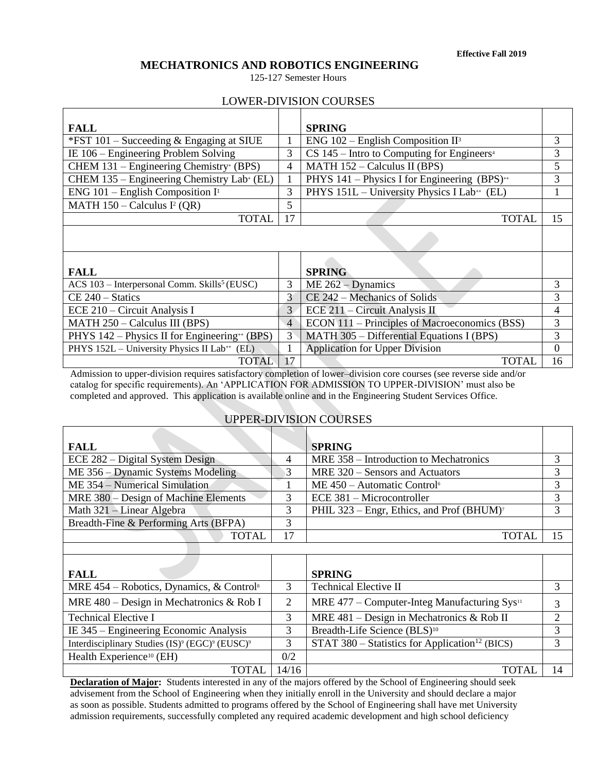# **MECHATRONICS AND ROBOTICS ENGINEERING**

125-127 Semester Hours

## LOWER-DIVISION COURSES

| <b>FALL</b>                                                 |                | <b>SPRING</b>                                              |          |
|-------------------------------------------------------------|----------------|------------------------------------------------------------|----------|
| *FST $101$ – Succeeding & Engaging at SIUE                  | 1              | ENG $102$ – English Composition II <sup>3</sup>            | 3        |
| IE $106$ – Engineering Problem Solving                      | 3              | $CS$ 145 – Intro to Computing for Engineers <sup>4</sup>   | 3        |
| CHEM 131 – Engineering Chemistry+ (BPS)                     | 4              | MATH $152 -$ Calculus II (BPS)                             | 5        |
| CHEM 135 – Engineering Chemistry Lab+ (EL)                  | 1              | PHYS $141$ – Physics I for Engineering (BPS) <sup>++</sup> | 3        |
| ENG 101 – English Composition $I^1$                         | 3              | PHYS 151L - University Physics I Lab++ (EL)                | 1        |
| MATH $150 -$ Calculus I <sup>2</sup> (QR)                   | 5              |                                                            |          |
| <b>TOTAL</b>                                                | 17             | <b>TOTAL</b>                                               | 15       |
|                                                             |                |                                                            |          |
|                                                             |                |                                                            |          |
|                                                             |                |                                                            |          |
| <b>FALL</b>                                                 |                | <b>SPRING</b>                                              |          |
| ACS $103$ – Interpersonal Comm. Skills <sup>5</sup> (EUSC)  | 3              | $ME 262 - Dynamics$                                        | 3        |
| $CE 240 - Statistics$                                       | 3              | CE 242 – Mechanics of Solids                               | 3        |
| ECE 210 – Circuit Analysis I                                | 3              | ECE 211 – Circuit Analysis II                              | 4        |
| $MATH 250 - Calculus III (BPS)$                             | $\overline{4}$ | ECON 111 – Principles of Macroeconomics (BSS)              | 3        |
| PHYS $142$ – Physics II for Engineering <sup>**</sup> (BPS) | 3              | MATH 305 - Differential Equations I (BPS)                  | 3        |
| PHYS 152L - University Physics II Lab <sup>++</sup> (EL)    |                | <b>Application for Upper Division</b>                      | $\theta$ |
| <b>TOTAL</b>                                                | 17             | <b>TOTAL</b>                                               | 16       |

Admission to upper-division requires satisfactory completion of lower–division core courses (see reverse side and/or catalog for specific requirements). An 'APPLICATION FOR ADMISSION TO UPPER-DIVISION' must also be completed and approved. This application is available online and in the Engineering Student Services Office.

# UPPER-DIVISION COURSES

| <b>FALL</b>                           | <b>SPRING</b>                                         |  |
|---------------------------------------|-------------------------------------------------------|--|
| ECE 282 – Digital System Design       | MRE 358 – Introduction to Mechatronics                |  |
| $ME 356 - Dynamic Systems Modeling$   | MRE 320 – Sensors and Actuators                       |  |
| ME 354 – Numerical Simulation         | $ME 450 - Automatic Control6$                         |  |
| MRE 380 – Design of Machine Elements  | ECE 381 – Microcontroller                             |  |
| Math 321 – Linear Algebra             | PHIL 323 – Engr, Ethics, and Prof (BHUM) <sup>7</sup> |  |
| Breadth-Fine & Performing Arts (BFPA) |                                                       |  |
| <b>TOTAL</b>                          | <b>TOTAL</b>                                          |  |
|                                       |                                                       |  |

| <b>FALL</b>                                                                        |       | <b>SPRING</b>                                              |   |
|------------------------------------------------------------------------------------|-------|------------------------------------------------------------|---|
| MRE $454$ – Robotics, Dynamics, & Control <sup>8</sup>                             |       | <b>Technical Elective II</b>                               |   |
| MRE $480 - Design$ in Mechatronics & Rob I                                         |       | MRE $477$ – Computer-Integ Manufacturing Sys <sup>11</sup> |   |
| <b>Technical Elective I</b>                                                        |       | MRE $481 - Design$ in Mechatronics & Rob II                |   |
| IE $345$ – Engineering Economic Analysis                                           |       | Breadth-Life Science (BLS) <sup>10</sup>                   |   |
| Interdisciplinary Studies (IS) <sup>9</sup> (EGC) <sup>9</sup> (EUSC) <sup>9</sup> |       | STAT 380 – Statistics for Application <sup>12</sup> (BICS) | 3 |
| Health Experience <sup>10</sup> (EH)                                               | 0/2   |                                                            |   |
| TOTAL                                                                              | 14/16 | TOTAI                                                      |   |

**Declaration of Major:** Students interested in any of the majors offered by the School of Engineering should seek advisement from the School of Engineering when they initially enroll in the University and should declare a major as soon as possible. Students admitted to programs offered by the School of Engineering shall have met University admission requirements, successfully completed any required academic development and high school deficiency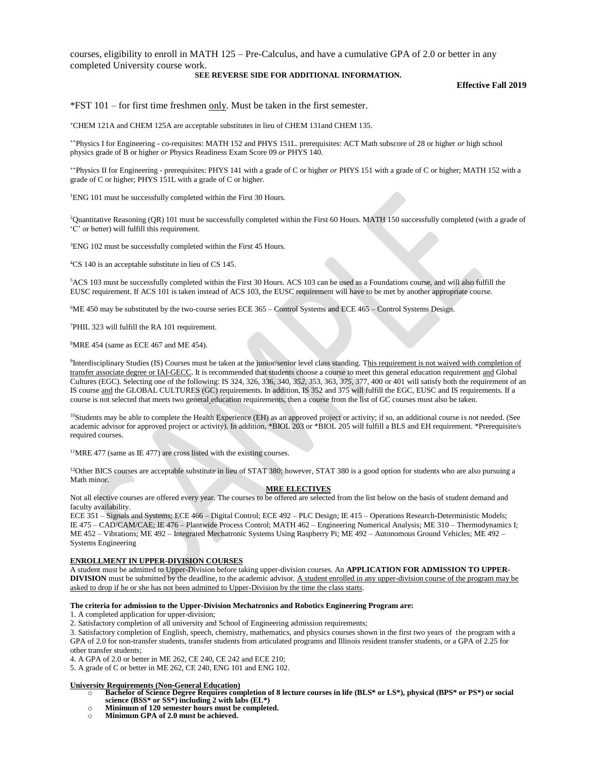courses, eligibility to enroll in MATH 125 – Pre-Calculus, and have a cumulative GPA of 2.0 or better in any completed University course work.

### **SEE REVERSE SIDE FOR ADDITIONAL INFORMATION.**

**Effective Fall 2019**

\*FST 101 – for first time freshmen only. Must be taken in the first semester.

**<sup>+</sup>**CHEM 121A and CHEM 125A are acceptable substitutes in lieu of CHEM 131and CHEM 135.

**++**Physics I for Engineering - co-requisites: MATH 152 and PHYS 151L. prerequisites: ACT Math subscore of 28 or higher *or* high school physics grade of B or higher *or* Physics Readiness Exam Score 09 *or* PHYS 140.

**++**Physics II for Engineering - prerequisites: PHYS 141 with a grade of C or higher *or* PHYS 151 with a grade of C or higher; MATH 152 with a grade of C or higher; PHYS 151L with a grade of C or higher.

<sup>1</sup>ENG 101 must be successfully completed within the First 30 Hours.

<sup>2</sup>Quantitative Reasoning (QR) 101 must be successfully completed within the First 60 Hours. MATH 150 successfully completed (with a grade of 'C' or better) will fulfill this requirement.

<sup>3</sup>ENG 102 must be successfully completed within the First 45 Hours.

<sup>4</sup>CS 140 is an acceptable substitute in lieu of CS 145.

<sup>5</sup>ACS 103 must be successfully completed within the First 30 Hours. ACS 103 can be used as a Foundations course, and will also fulfill the EUSC requirement. If ACS 101 is taken instead of ACS 103, the EUSC requirement will have to be met by another appropriate course.

<sup>6</sup>ME 450 may be substituted by the two-course series ECE 365 – Control Systems and ECE 465 – Control Systems Design.

<sup>7</sup>PHIL 323 will fulfill the RA 101 requirement.

<sup>8</sup>MRE 454 (same as ECE 467 and ME 454).

<sup>9</sup>Interdisciplinary Studies (IS) Courses must be taken at the junior/senior level class standing. This requirement is not waived with completion of transfer associate degree or IAI‐GECC. It is recommended that students choose a course to meet this general education requirement and Global Cultures (EGC). Selecting one of the following: IS 324, 326, 336, 340, *352*, 353, 363, *375*, 377, 400 or 401 will satisfy both the requirement of an IS course and the GLOBAL CULTURES (GC) requirements. In addition, IS 352 and 375 will fulfill the EGC, EUSC and IS requirements. If a course is not selected that meets two general education requirements, then a course from the list of GC courses must also be taken.

<sup>10</sup>Students may be able to complete the Health Experience (EH) as an approved project or activity; if so, an additional course is not needed. (See academic advisor for approved project or activity). In addition, \*BIOL 203 or \*BIOL 205 will fulfill a BLS and EH requirement. \*Prerequisite/s required courses.

 $11$ MRE 477 (same as IE 477) are cross listed with the existing courses.

 $12$ Other BICS courses are acceptable substitute in lieu of STAT 380; however, STAT 380 is a good option for students who are also pursuing a Math minor.

#### **MRE ELECTIVES**

Not all elective courses are offered every year. The courses to be offered are selected from the list below on the basis of student demand and faculty availability.

ECE 351 – Signals and Systems; ECE 466 – Digital Control; ECE 492 – PLC Design; IE 415 – Operations Research-Deterministic Models; IE 475 – CAD/CAM/CAE; IE 476 – Plantwide Process Control; MATH 462 – Engineering Numerical Analysis; ME 310 – Thermodynamics I; ME 452 – Vibrations; ME 492 – Integrated Mechatronic Systems Using Raspberry Pi; ME 492 – Autonomous Ground Vehicles; ME 492 – Systems Engineering

#### **ENROLLMENT IN UPPER-DIVISION COURSES**

A student must be admitted to Upper-Division before taking upper-division courses. An **APPLICATION FOR ADMISSION TO UPPER-DIVISION** must be submitted by the deadline, to the academic advisor. A student enrolled in any upper-division course of the program may be asked to drop if he or she has not been admitted to Upper-Division by the time the class starts.

#### **The criteria for admission to the Upper-Division Mechatronics and Robotics Engineering Program are:**

1. A completed application for upper-division;

2. Satisfactory completion of all university and School of Engineering admission requirements;

3. Satisfactory completion of English, speech, chemistry, mathematics, and physics courses shown in the first two years of the program with a GPA of 2.0 for non-transfer students, transfer students from articulated programs and Illinois resident transfer students, or a GPA of 2.25 for other transfer students;

4. A GPA of 2.0 or better in ME 262, CE 240, CE 242 and ECE 210;

5. A grade of C or better in ME 262, CE 240, ENG 101 and ENG 102.

#### **University Requirements (Non**‐**General Education)**

- Bachelor of Science Degree Requires completion of 8 lecture courses in life (BLS\* or LS\*), physical (BPS\* or PS\*) or social **science (BSS\* or SS\*) including 2 with labs (EL\*)**
- o **Minimum of 120 semester hours must be completed.**
- o **Minimum GPA of 2.0 must be achieved.**